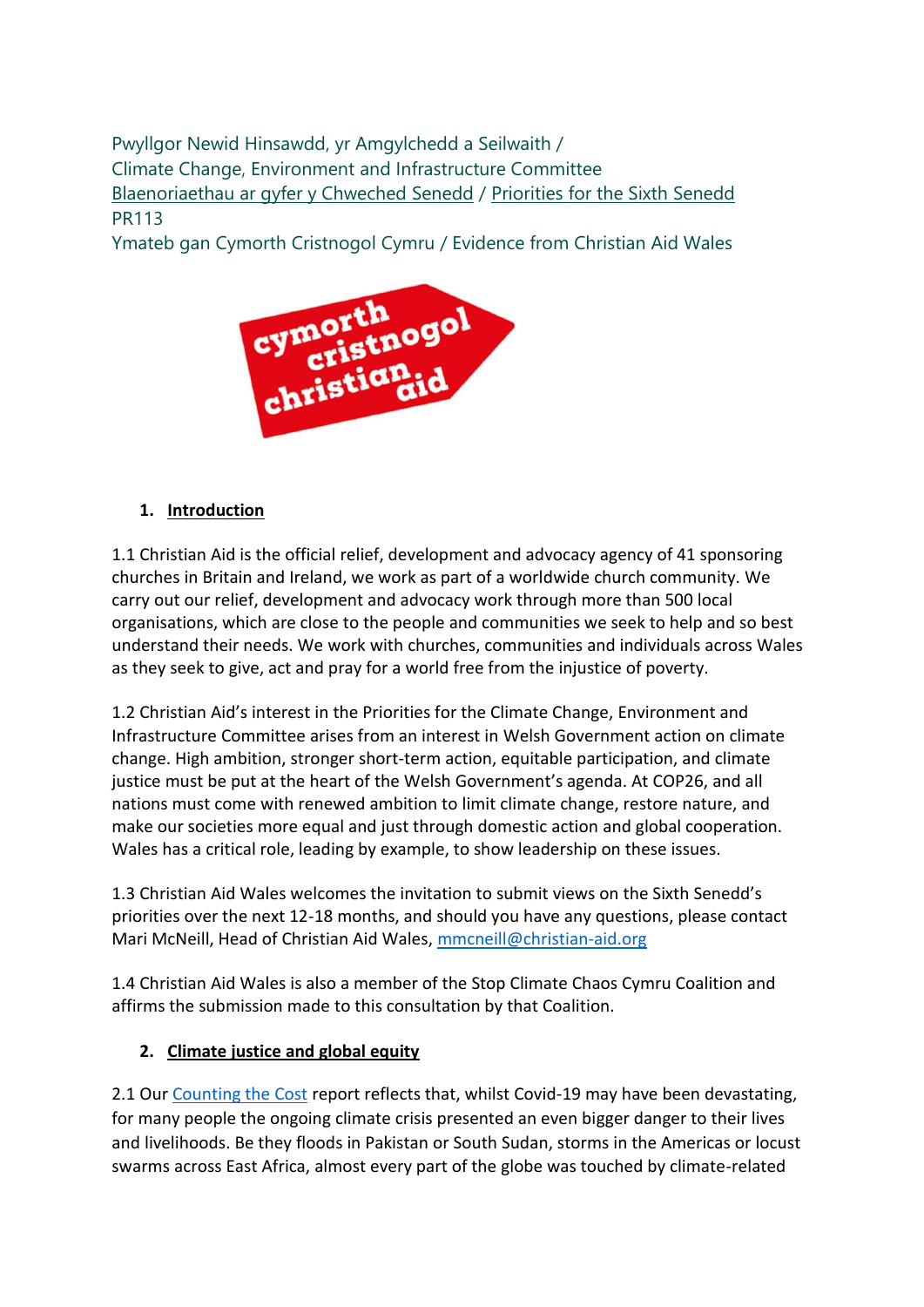Pwyllgor Newid Hinsawdd, yr Amgylchedd a Seilwaith / Climate Change, Environment and Infrastructure Committee [Blaenoriaethau ar gyfer y Chweched Senedd](https://busnes.senedd.cymru/mgConsultationDisplay.aspx?id=427&RPID=1026452002&cp=yes) / Priorities [for the Sixth Senedd](https://business.senedd.wales/mgConsultationDisplay.aspx?id=427&RPID=1026452002&cp=yes) PR113

Ymateb gan Cymorth Cristnogol Cymru / Evidence from Christian Aid Wales



## **1. Introduction**

1.1 Christian Aid is the official relief, development and advocacy agency of 41 sponsoring churches in Britain and Ireland, we work as part of a worldwide church community. We carry out our relief, development and advocacy work through more than 500 local organisations, which are close to the people and communities we seek to help and so best understand their needs. We work with churches, communities and individuals across Wales as they seek to give, act and pray for a world free from the injustice of poverty.

1.2 Christian Aid's interest in the Priorities for the Climate Change, Environment and Infrastructure Committee arises from an interest in Welsh Government action on climate change. High ambition, stronger short-term action, equitable participation, and climate justice must be put at the heart of the Welsh Government's agenda. At COP26, and all nations must come with renewed ambition to limit climate change, restore nature, and make our societies more equal and just through domestic action and global cooperation. Wales has a critical role, leading by example, to show leadership on these issues.

1.3 Christian Aid Wales welcomes the invitation to submit views on the Sixth Senedd's priorities over the next 12-18 months, and should you have any questions, please contact Mari McNeill, Head of Christian Aid Wales[, mmcneill@christian-aid.org](mailto:mmcneill@christian-aid.org)

1.4 Christian Aid Wales is also a member of the Stop Climate Chaos Cymru Coalition and affirms the submission made to this consultation by that Coalition.

## **2. Climate justice and global equity**

2.1 Our [Counting the Cost](https://www.christianaid.org.uk/sites/default/files/2020-12/Counting%20the%20cost%202020.pdf) report reflects that, whilst Covid-19 may have been devastating, for many people the ongoing climate crisis presented an even bigger danger to their lives and livelihoods. Be they floods in Pakistan or South Sudan, storms in the Americas or locust swarms across East Africa, almost every part of the globe was touched by climate-related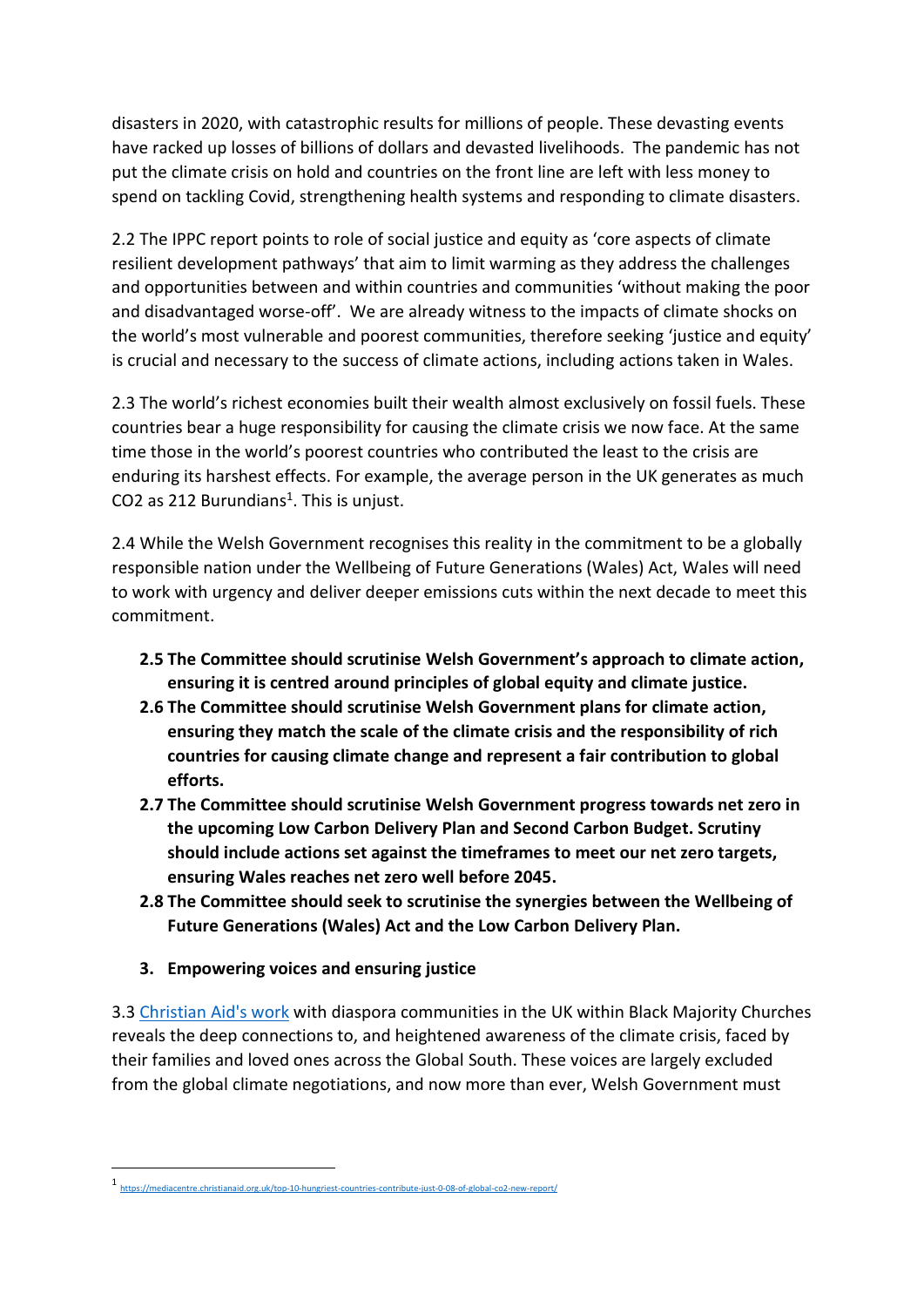disasters in 2020, with catastrophic results for millions of people. These devasting events have racked up losses of billions of dollars and devasted livelihoods. The pandemic has not put the climate crisis on hold and countries on the front line are left with less money to spend on tackling Covid, strengthening health systems and responding to climate disasters.

2.2 The IPPC report points to role of social justice and equity as 'core aspects of climate resilient development pathways' that aim to limit warming as they address the challenges and opportunities between and within countries and communities 'without making the poor and disadvantaged worse-off'. We are already witness to the impacts of climate shocks on the world's most vulnerable and poorest communities, therefore seeking 'justice and equity' is crucial and necessary to the success of climate actions, including actions taken in Wales.

2.3 The world's richest economies built their wealth almost exclusively on fossil fuels. These countries bear a huge responsibility for causing the climate crisis we now face. At the same time those in the world's poorest countries who contributed the least to the crisis are enduring its harshest effects. For example, the average person in the UK generates as much  $CO2$  as 212 Burundians<sup>1</sup>. This is unjust.

2.4 While the Welsh Government recognises this reality in the commitment to be a globally responsible nation under the Wellbeing of Future Generations (Wales) Act, Wales will need to work with urgency and deliver deeper emissions cuts within the next decade to meet this commitment.

- **2.5 The Committee should scrutinise Welsh Government's approach to climate action, ensuring it is centred around principles of global equity and climate justice.**
- **2.6 The Committee should scrutinise Welsh Government plans for climate action, ensuring they match the scale of the climate crisis and the responsibility of rich countries for causing climate change and represent a fair contribution to global efforts.**
- **2.7 The Committee should scrutinise Welsh Government progress towards net zero in the upcoming Low Carbon Delivery Plan and Second Carbon Budget. Scrutiny should include actions set against the timeframes to meet our net zero targets, ensuring Wales reaches net zero well before 2045.**
- **2.8 The Committee should seek to scrutinise the synergies between the Wellbeing of Future Generations (Wales) Act and the Low Carbon Delivery Plan.**
- **3. Empowering voices and ensuring justice**

3.3 [Christian Aid's work](https://www.christianaid.org.uk/sites/default/files/2021-02/Our%20Prophetic%20Journey%20Towards%20Climate%20Justice.pdf) with diaspora communities in the UK within Black Majority Churches reveals the deep connections to, and heightened awareness of the climate crisis, faced by their families and loved ones across the Global South. These voices are largely excluded from the global climate negotiations, and now more than ever, Welsh Government must

<sup>1</sup> <https://mediacentre.christianaid.org.uk/top-10-hungriest-countries-contribute-just-0-08-of-global-co2-new-report/>